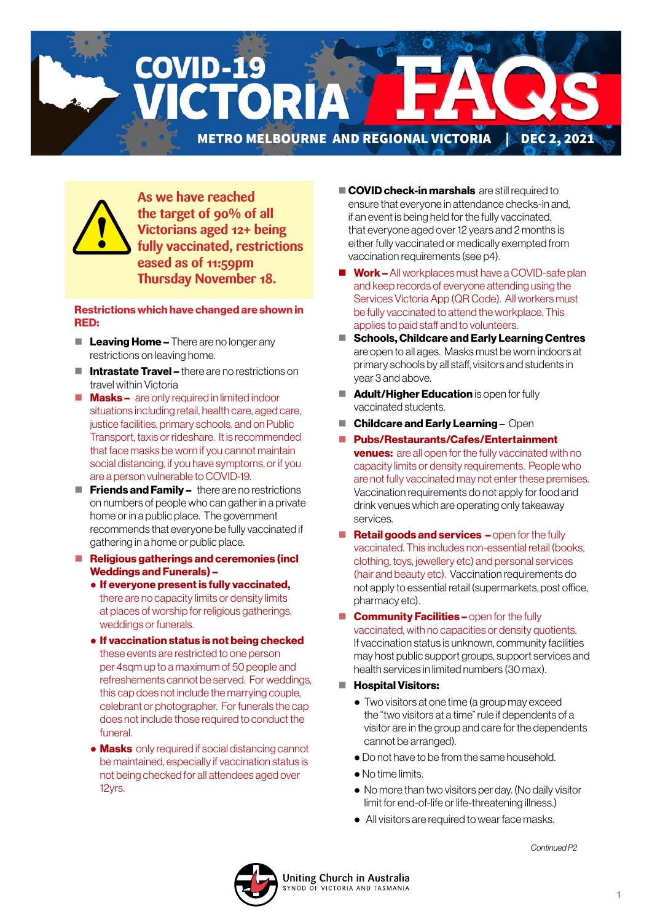**COVID-19** CTORI

METRO MELBOURNE AND REGIONAL VICTORIA DEC 2, 2021



**As we have reached the target of 90% of all Victorians aged 12+ being fully vaccinated, restrictions eased as of 11:59pm Thursday November 18.**

#### Restrictions which have changed are shown in RED:

- $\blacksquare$  Leaving Home There are no longer any restrictions on leaving home.
- $\blacksquare$  Intrastate Travel there are no restrictions on travel within Victoria
- $\blacksquare$  **Masks** are only required in limited indoor situations including retail, health care, aged care, justice facilities, primary schools, and on Public Transport, taxis or rideshare. It is recommended that face masks be worn if you cannot maintain social distancing, if you have symptoms, or if you are a person vulnerable to COVID-19.
- $\blacksquare$  Friends and Family there are no restrictions on numbers of people who can gather in a private home or in a public place. The government recommends that everyone be fully vaccinated if gathering in a home or public place.
- Religious gatherings and ceremonies (incl Weddings and Funerals) –
	- If everyone present is fully vaccinated, there are no capacity limits or density limits at places of worship for religious gatherings, weddings or funerals.
	- If vaccination status is not being checked these events are restricted to one person per 4sqm up to a maximum of 50 people and refreshements cannot be served. For weddings, this cap does not include the marrying couple, celebrant or photographer. For funerals the cap does not include those required to conduct the funeral.
	- Masks only required if social distancing cannot be maintained, especially if vaccination status is not being checked for all attendees aged over 12yrs.
- COVID check-in marshals are still required to ensure that everyone in attendance checks-in and, if an event is being held for the fully vaccinated, that everyone aged over 12 years and 2 months is either fully vaccinated or medically exempted from vaccination requirements (see p4).
- Work All workplaces must have a COVID-safe plan and keep records of everyone attending using the Services Victoria App (QR Code). All workers must be fully vaccinated to attend the workplace. This applies to paid staff and to volunteers.
- Schools, Childcare and Early Learning Centres are open to all ages. Masks must be worn indoors at primary schools by all staff, visitors and students in year 3 and above.
- Adult/Higher Education is open for fully vaccinated students.
- $\blacksquare$  Childcare and Early Learning Open
- Pubs/Restaurants/Cafes/Entertainment **venues:** are all open for the fully vaccinated with no capacity limits or density requirements. People who are not fully vaccinated may not enter these premises. Vaccination requirements do not apply for food and drink venues which are operating only takeaway services.
- Retail goods and services open for the fully vaccinated. This includes non-essential retail (books, clothing, toys, jewellery etc) and personal services (hair and beauty etc). Vaccination requirements do not apply to essential retail (supermarkets, post office, pharmacy etc).
- **Community Facilities open for the fully** vaccinated, with no capacities or density quotients. If vaccination status is unknown, community facilities may host public support groups, support services and health services in limited numbers (30 max).
- **Hospital Visitors:** 
	- Two visitors at one time (a group may exceed the "two visitors at a time" rule if dependents of a visitor are in the group and care for the dependents cannot be arranged).
	- Do not have to be from the same household.
	- No time limits.

**NOD OF VICTORIA AND TASMANIA** 

- No more than two visitors per day. (No daily visitor limit for end-of-life or life-threatening illness.)
- All visitors are required to wear face masks.

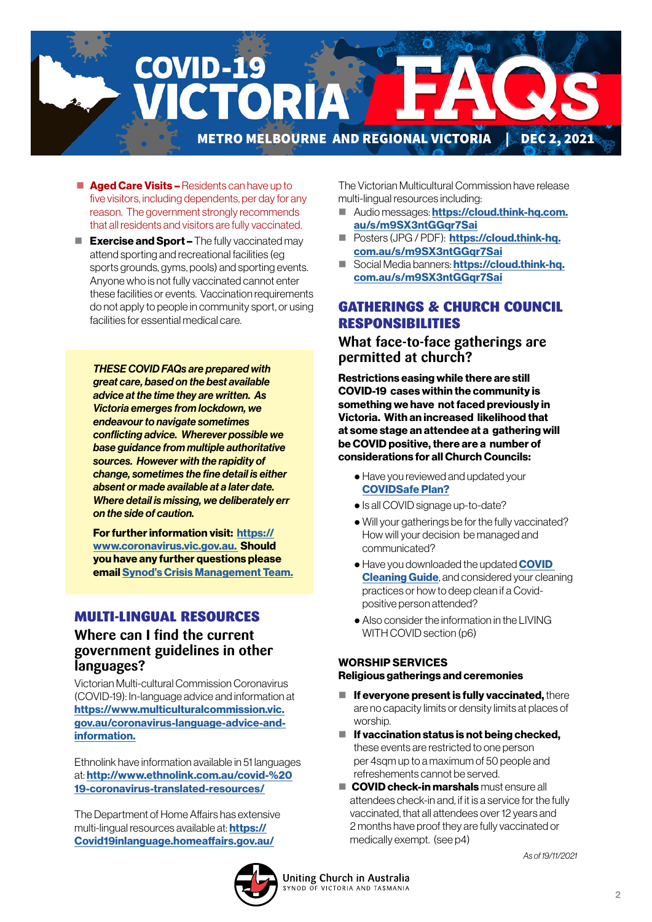

- **Aged Care Visits Residents can have up to** five visitors, including dependents, per day for any reason. The government strongly recommends that all residents and visitors are fully vaccinated.
- $\blacksquare$  Exercise and Sport The fully vaccinated may attend sporting and recreational facilities (eg sports grounds, gyms, pools) and sporting events. Anyone who is not fully vaccinated cannot enter these facilities or events. Vaccination requirements do not apply to people in community sport, or using facilities for essential medical care.

*THESE COVID FAQs are prepared with great care, based on the best available advice at the time they are written. As Victoria emerges from lockdown, we endeavour to navigate sometimes conflicting advice. Wherever possible we base guidance from multiple authoritative sources. However with the rapidity of change, sometimes the fine detail is either absent or made available at a later date. Where detail is missing, we deliberately err on the side of caution.* 

For further information visit: [https://](https://www.coronavirus.vic.gov.au) [www.coronavirus.vic.gov.au.](https://www.coronavirus.vic.gov.au) Should you have any further questions please email [Synod's Crisis Management Team.](mailto:CrisisManagement%40victas.uca.org.au?subject=)

### MULTI-LINGUAL RESOURCES

### **Where can I find the current government guidelines in other languages?**

Victorian Multi-cultural Commission Coronavirus (COVID-19): In-language advice and information at [https://www.multiculturalcommission.vic.](https://www.multiculturalcommission.vic.gov.au/coronavirus-language-advice-and-information) [gov.au/coronavirus-language-advice-and](https://www.multiculturalcommission.vic.gov.au/coronavirus-language-advice-and-information)[information.](https://www.multiculturalcommission.vic.gov.au/coronavirus-language-advice-and-information)

Ethnolink have information available in 51 languages at: [http://www.ethnolink.com.au/covid-%20](http://www.ethnolink.com.au/covid-%2019-coronavirus-translated-resources/) [19-coronavirus-translated-resources/](http://www.ethnolink.com.au/covid-%2019-coronavirus-translated-resources/)

The Department of Home Affairs has extensive multi-lingual resources available at: **[https://](https://Covid19inlanguage.homeaffairs.gov.au/)** [Covid19inlanguage.homeaffairs.gov.au/](https://Covid19inlanguage.homeaffairs.gov.au/)

The Victorian Multicultural Commission have release multi-lingual resources including:

- Audio messages: [https://cloud.think-hq.com.](https://cloud.think-hq.com.au/s/m9SX3ntGGqr7Sai) [au/s/m9SX3ntGGqr7Sai](https://cloud.think-hq.com.au/s/m9SX3ntGGqr7Sai)
- **Posters (JPG / PDF): [https://cloud.think-hq.](https://cloud.think-hq.com.au/s/m9SX3ntGGqr7Sai)** [com.au/s/m9SX3ntGGqr7Sai](https://cloud.think-hq.com.au/s/m9SX3ntGGqr7Sai)
- Social Media banners: [https://cloud.think-hq.](https://cloud.think-hq.com.au/s/m9SX3ntGGqr7Sai) [com.au/s/m9SX3ntGGqr7Sai](https://cloud.think-hq.com.au/s/m9SX3ntGGqr7Sai)

### GATHERINGS & CHURCH COUNCIL RESPONSIBILITIES

**What face-to-face gatherings are permitted at church?**

Restrictions easing while there are still COVID-19 cases within the community is something we have not faced previously in Victoria. With an increased likelihood that at some stage an attendee at a gathering will be COVID positive, there are a number of considerations for all Church Councils:

- Have you reviewed and updated your [COVIDSafe Plan?](https://victas.uca.org.au/download/668/faq/8852/recovery-action-plan-checklist-v5)
- Is all COVID signage up-to-date?
- Will your gatherings be for the fully vaccinated? How will your decision be managed and communicated?
- Have you downloaded the updated **COVID [Cleaning Guide](https://victas.uca.org.au/download/668/faq/11557/covid-cleaning-guide)**, and considered your cleaning practices or how to deep clean if a Covidpositive person attended?
- Also consider the information in the LIVING WITH COVID section (p6)

# WORSHIP SERVICES

### Religious gatherings and ceremonies

- $\blacksquare$  If everyone present is fully vaccinated, there are no capacity limits or density limits at places of worship.
- $\blacksquare$  If vaccination status is not being checked. these events are restricted to one person per 4sqm up to a maximum of 50 people and refreshements cannot be served.
- COVID check-in marshals must ensure all attendees check-in and, if it is a service for the fully vaccinated, that all attendees over 12 years and 2 months have proof they are fully vaccinated or medically exempt. (see p4)

*As of 19/11/2021* 

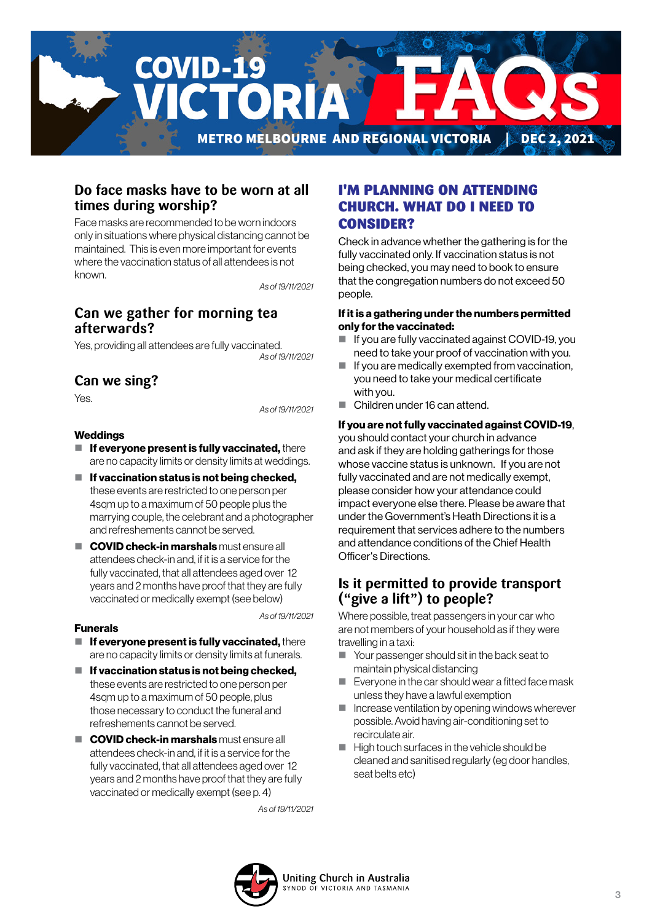

### **Do face masks have to be worn at all times during worship?**

Face masks are recommended to be worn indoors only in situations where physical distancing cannot be maintained. This is even more important for events where the vaccination status of all attendees is not known

*As of 19/11/2021*

# **Can we gather for morning tea afterwards?**

Yes, providing all attendees are fully vaccinated. *As of 19/11/2021*

## **Can we sing?**

Yes.

*As of 19/11/2021*

#### Weddings

- $\blacksquare$  If everyone present is fully vaccinated, there are no capacity limits or density limits at weddings.
- $\blacksquare$  If vaccination status is not being checked. these events are restricted to one person per 4sqm up to a maximum of 50 people plus the marrying couple, the celebrant and a photographer and refreshements cannot be served.
- COVID check-in marshals must ensure all attendees check-in and, if it is a service for the fully vaccinated, that all attendees aged over 12 years and 2 months have proof that they are fully vaccinated or medically exempt (see below)

*As of 19/11/2021*

### Funerals

- $\blacksquare$  If everyone present is fully vaccinated, there are no capacity limits or density limits at funerals.
- $\blacksquare$  If vaccination status is not being checked, these events are restricted to one person per 4sqm up to a maximum of 50 people, plus those necessary to conduct the funeral and refreshements cannot be served.
- COVID check-in marshals must ensure all attendees check-in and, if it is a service for the fully vaccinated, that all attendees aged over 12 years and 2 months have proof that they are fully vaccinated or medically exempt (see p. 4)

*As of 19/11/2021*

## I'M PLANNING ON ATTENDING CHURCH. WHAT DO I NEED TO CONSIDER?

Check in advance whether the gathering is for the fully vaccinated only. If vaccination status is not being checked, you may need to book to ensure that the congregation numbers do not exceed 50 people.

#### If it is a gathering under the numbers permitted only for the vaccinated:

- If you are fully vaccinated against COVID-19, you need to take your proof of vaccination with you.
- $\blacksquare$  If you are medically exempted from vaccination, you need to take your medical certificate with you.
- Children under 16 can attend.

#### If you are not fully vaccinated against COVID-19,

you should contact your church in advance and ask if they are holding gatherings for those whose vaccine status is unknown. If you are not fully vaccinated and are not medically exempt, please consider how your attendance could impact everyone else there. Please be aware that under the Government's Heath Directions it is a requirement that services adhere to the numbers and attendance conditions of the Chief Health Officer's Directions.

### **Is it permitted to provide transport ("give a lift") to people?**

Where possible, treat passengers in your car who are not members of your household as if they were travelling in a taxi:

- Your passenger should sit in the back seat to maintain physical distancing
- Everyone in the car should wear a fitted face mask unless they have a lawful exemption
- $\blacksquare$  Increase ventilation by opening windows wherever possible. Avoid having air-conditioning set to recirculate air.
- $\blacksquare$  High touch surfaces in the vehicle should be cleaned and sanitised regularly (eg door handles, seat belts etc)

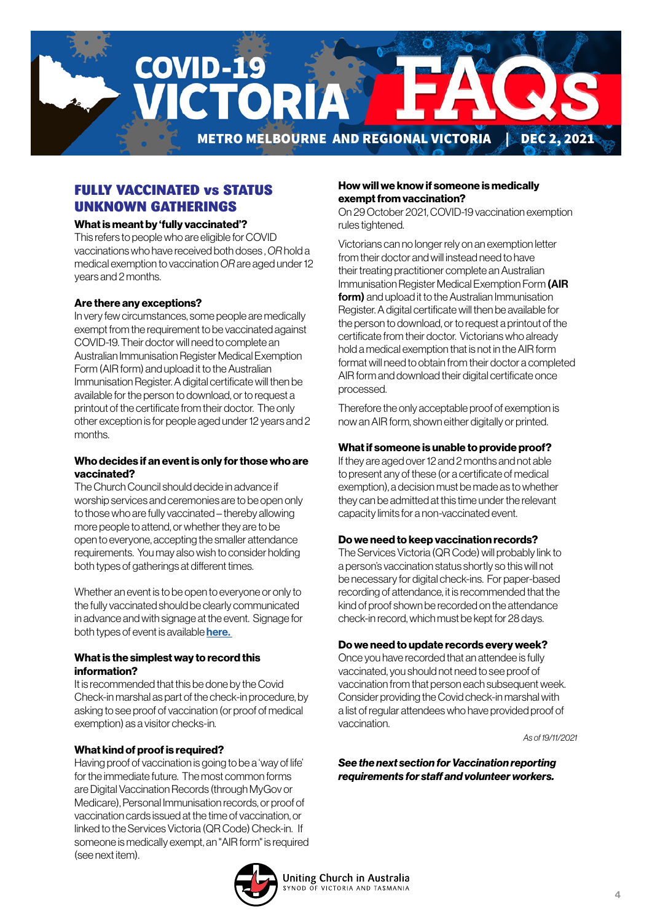

### FULLY VACCINATED vs STATUS UNKNOWN GATHERINGS

#### What is meant by 'fully vaccinated'?

This refers to people who are eligible for COVID vaccinations who have received both doses , *OR* hold a medical exemption to vaccination *OR* are aged under 12 years and 2 months.

#### Are there any exceptions?

In very few circumstances, some people are medically exempt from the requirement to be vaccinated against COVID-19. Their doctor will need to complete an Australian Immunisation Register Medical Exemption Form (AIR form) and upload it to the Australian Immunisation Register. A digital certificate will then be available for the person to download, or to request a printout of the certificate from their doctor. The only other exception is for people aged under 12 years and 2 months.

#### Who decides if an event is only for those who are vaccinated?

The Church Council should decide in advance if worship services and ceremonies are to be open only to those who are fully vaccinated – thereby allowing more people to attend, or whether they are to be open to everyone, accepting the smaller attendance requirements. You may also wish to consider holding both types of gatherings at different times.

Whether an event is to be open to everyone or only to the fully vaccinated should be clearly communicated in advance and with signage at the event. Signage for both types of event is available here.

#### What is the simplest way to record this information?

It is recommended that this be done by the Covid Check-in marshal as part of the check-in procedure, by asking to see proof of vaccination (or proof of medical exemption) as a visitor checks-in.

#### What kind of proof is required?

Having proof of vaccination is going to be a 'way of life' for the immediate future. The most common forms are Digital Vaccination Records (through MyGov or Medicare), Personal Immunisation records, or proof of vaccination cards issued at the time of vaccination, or linked to the Services Victoria (QR Code) Check-in. If someone is medically exempt, an "AIR form" is required (see next item).

### How will we know if someone is medically exempt from vaccination?

On 29 October 2021, COVID-19 vaccination exemption rules tightened.

Victorians can no longer rely on an exemption letter from their doctor and will instead need to have their treating practitioner complete an Australian Immunisation Register Medical Exemption Form (AIR form) and upload it to the Australian Immunisation Register. A digital certificate will then be available for the person to download, or to request a printout of the certificate from their doctor. Victorians who already hold a medical exemption that is not in the AIR form format will need to obtain from their doctor a completed AIR form and download their digital certificate once processed.

Therefore the only acceptable proof of exemption is now an AIR form, shown either digitally or printed.

#### What if someone is unable to provide proof?

If they are aged over 12 and 2 months and not able to present any of these (or a certificate of medical exemption), a decision must be made as to whether they can be admitted at this time under the relevant capacity limits for a non-vaccinated event.

#### Do we need to keep vaccination records?

The Services Victoria (QR Code) will probably link to a person's vaccination status shortly so this will not be necessary for digital check-ins. For paper-based recording of attendance, it is recommended that the kind of proof shown be recorded on the attendance check-in record, which must be kept for 28 days.

#### Do we need to update records every week?

Once you have recorded that an attendee is fully vaccinated, you should not need to see proof of vaccination from that person each subsequent week. Consider providing the Covid check-in marshal with a list of regular attendees who have provided proof of vaccination.

*As of 19/11/2021*

*See the next section for Vaccination reporting requirements for staff and volunteer workers.*

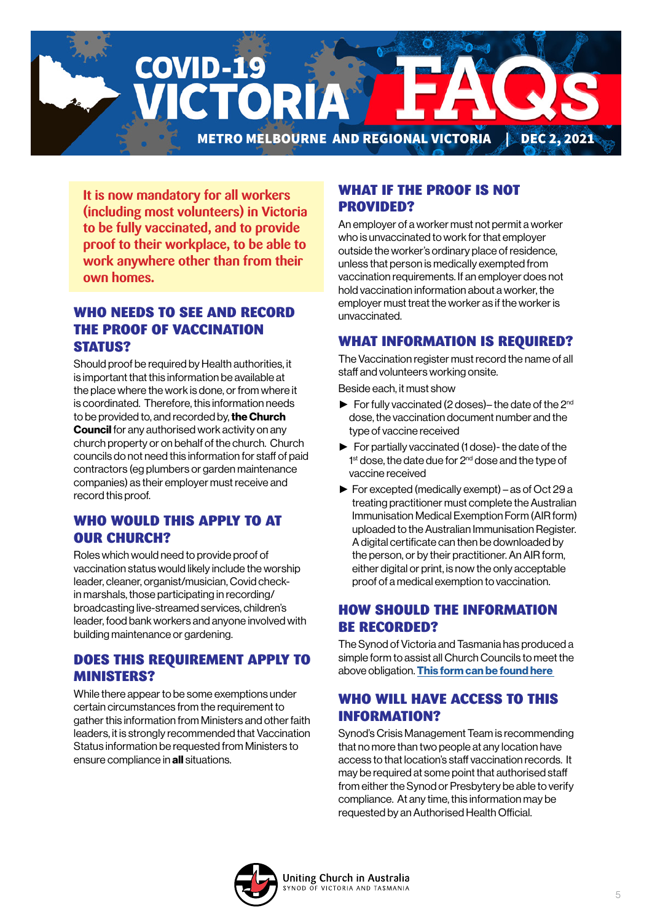

**It is now mandatory for all workers (including most volunteers) in Victoria to be fully vaccinated, and to provide proof to their workplace, to be able to work anywhere other than from their own homes.**

## WHO NEEDS TO SEE AND RECORD THE PROOF OF VACCINATION STATUS?

Should proof be required by Health authorities, it is important that this information be available at the place where the work is done, or from where it is coordinated. Therefore, this information needs to be provided to, and recorded by, the Church **Council** for any authorised work activity on any church property or on behalf of the church. Church councils do not need this information for staff of paid contractors (eg plumbers or garden maintenance companies) as their employer must receive and record this proof.

### WHO WOULD THIS APPLY TO AT OUR CHURCH?

Roles which would need to provide proof of vaccination status would likely include the worship leader, cleaner, organist/musician, Covid checkin marshals, those participating in recording/ broadcasting live-streamed services, children's leader, food bank workers and anyone involved with building maintenance or gardening.

## DOES THIS REQUIREMENT APPLY TO MINISTERS?

While there appear to be some exemptions under certain circumstances from the requirement to gather this information from Ministers and other faith leaders, it is strongly recommended that Vaccination Status information be requested from Ministers to ensure compliance in **all** situations.

### WHAT IF THE PROOF IS NOT PROVIDED?

An employer of a worker must not permit a worker who is unvaccinated to work for that employer outside the worker's ordinary place of residence, unless that person is medically exempted from vaccination requirements. If an employer does not hold vaccination information about a worker, the employer must treat the worker as if the worker is unvaccinated.

## WHAT INFORMATION IS REQUIRED?

The Vaccination register must record the name of all staff and volunteers working onsite.

Beside each, it must show

- $\blacktriangleright$  For fully vaccinated (2 doses)– the date of the 2<sup>nd</sup> dose, the vaccination document number and the type of vaccine received
- ► For partially vaccinated (1 dose)- the date of the 1<sup>st</sup> dose, the date due for 2<sup>nd</sup> dose and the type of vaccine received
- ► For excepted (medically exempt) as of Oct 29 a treating practitioner must complete the Australian Immunisation Medical Exemption Form (AIR form) uploaded to the Australian Immunisation Register. A digital certificate can then be downloaded by the person, or by their practitioner. An AIR form, either digital or print, is now the only acceptable proof of a medical exemption to vaccination.

# HOW SHOULD THE INFORMATION BE RECORDED?

The Synod of Victoria and Tasmania has produced a simple form to assist all Church Councils to meet the above obligation. This form can be found here

# WHO WILL HAVE ACCESS TO THIS INFORMATION?

Synod's Crisis Management Team is recommending that no more than two people at any location have access to that location's staff vaccination records. It may be required at some point that authorised staff from either the Synod or Presbytery be able to verify compliance. At any time, this information may be requested by an Authorised Health Official.

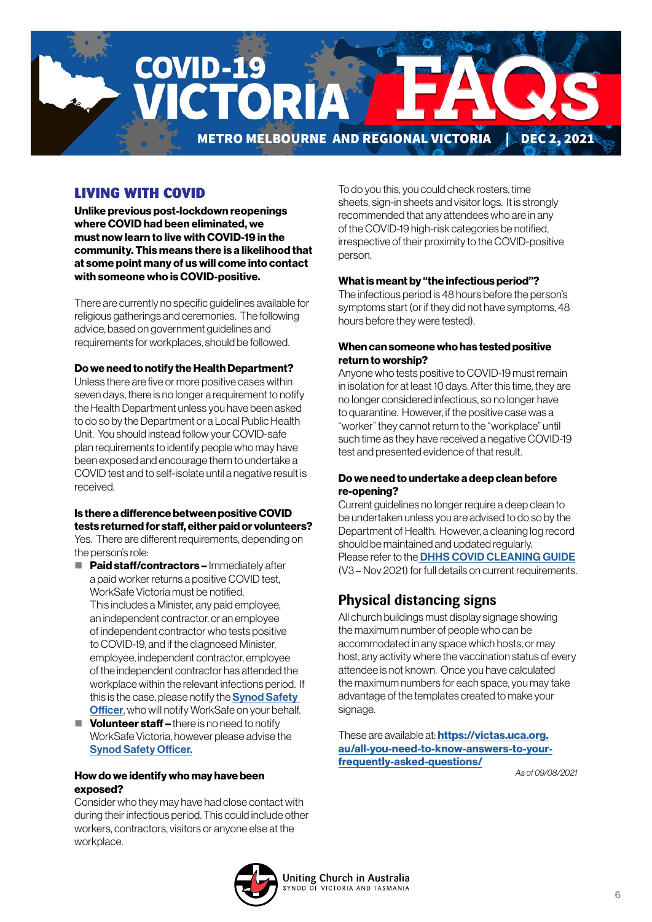

# LIVING WITH COVID

Unlike previous post-lockdown reopenings where COVID had been eliminated, we must now learn to live with COVID-19 in the community. This means there is a likelihood that at some point many of us will come into contact with someone who is COVID-positive.

There are currently no specific guidelines available for religious gatherings and ceremonies. The following advice, based on government guidelines and requirements for workplaces, should be followed.

#### Do we need to notify the Health Department?

Unless there are five or more positive cases within seven days, there is no longer a requirement to notify the Health Department unless you have been asked to do so by the Department or a Local Public Health Unit. You should instead follow your COVID-safe plan requirements to identify people who may have been exposed and encourage them to undertake a COVID test and to self-isolate until a negative result is received.

### Is there a difference between positive COVID tests returned for staff, either paid or volunteers?

Yes. There are different requirements, depending on the person's role:

- $\blacksquare$  Paid staff/contractors Immediately after a paid worker returns a positive COVID test, WorkSafe Victoria must be notified. This includes a Minister, any paid employee, an independent contractor, or an employee of independent contractor who tests positive to COVID-19, and if the diagnosed Minister, employee, independent contractor, employee of the independent contractor has attended the workplace within the relevant infections period. If this is the case, please notify the **Synod Safety [Officer](mailto:Elnura.Dulakovic%40victas.uca.org.au?subject=)**, who will notify WorkSafe on your behalf.
- $\blacksquare$  Volunteer staff there is no need to notify WorkSafe Victoria, however please advise the [Synod Safety Officer.](mailto:Elnura.Dulakovic%40victas.uca.org.au?subject=)

#### How do we identify who may have been exposed?

Consider who they may have had close contact with during their infectious period. This could include other workers, contractors, visitors or anyone else at the workplace.

To do you this, you could check rosters, time sheets, sign-in sheets and visitor logs. It is strongly recommended that any attendees who are in any of the COVID-19 high-risk categories be notified, irrespective of their proximity to the COVID-positive person.

#### What is meant by "the infectious period"?

The infectious period is 48 hours before the person's symptoms start (or if they did not have symptoms, 48 hours before they were tested).

#### When can someone who has tested positive return to worship?

Anyone who tests positive to COVID-19 must remain in isolation for at least 10 days. After this time, they are no longer considered infectious, so no longer have to quarantine. However, if the positive case was a "worker" they cannot return to the "workplace" until such time as they have received a negative COVID-19 test and presented evidence of that result.

#### Do we need to undertake a deep clean before re-opening?

Current guidelines no longer require a deep clean to be undertaken unless you are advised to do so by the Department of Health. However, a cleaning log record should be maintained and updated regularly. Please refer to the **[DHHS COVID CLEANING GUIDE](https://victas.uca.org.au/download/668/faq/11557/covid-cleaning-guide)** (V3 – Nov 2021) for full details on current requirements.

# **Physical distancing signs**

All church buildings must display signage showing the maximum number of people who can be accommodated in any space which hosts, or may host, any activity where the vaccination status of every attendee is not known. Once you have calculated the maximum numbers for each space, you may take advantage of the templates created to make your signage.

These are available at: **[https://victas.uca.org.](https://victas.uca.org.au/all-you-need-to-know-answers-to-your-frequently-asked-questions/)** [au/all-you-need-to-know-answers-to-your](https://victas.uca.org.au/all-you-need-to-know-answers-to-your-frequently-asked-questions/)[frequently-asked-questions/](https://victas.uca.org.au/all-you-need-to-know-answers-to-your-frequently-asked-questions/)

*As of 09/08/2021*

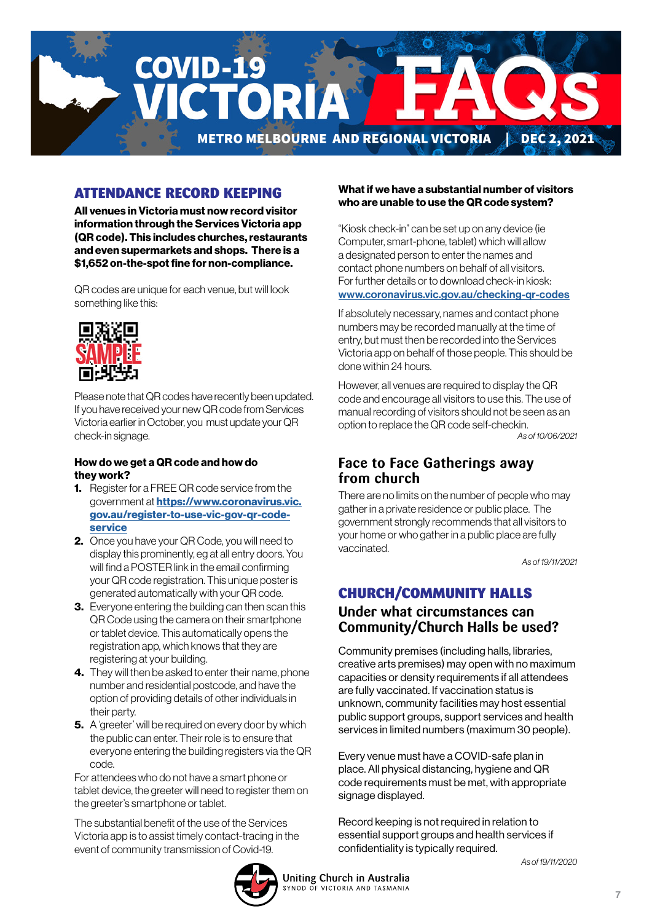

# ATTENDANCE RECORD KEEPING

All venues in Victoria must now record visitor information through the Services Victoria app (QR code). This includes churches, restaurants and even supermarkets and shops. There is a \$1,652 on-the-spot fine for non-compliance.

QR codes are unique for each venue, but will look something like this:



Please note that QR codes have recently been updated. If you have received your new QR code from Services Victoria earlier in October, you must update your QR check-in signage.

#### How do we get a QR code and how do they work?

- **1.** Register for a FREE QR code service from the government at [https://www.coronavirus.vic.](https://www.coronavirus.vic.gov.au/register-to-use-vic-gov-qr-code-service) [gov.au/register-to-use-vic-gov-qr-code](https://www.coronavirus.vic.gov.au/register-to-use-vic-gov-qr-code-service)[service](https://www.coronavirus.vic.gov.au/register-to-use-vic-gov-qr-code-service)
- 2. Once you have your QR Code, you will need to display this prominently, eg at all entry doors. You will find a POSTER link in the email confirming your QR code registration. This unique poster is generated automatically with your QR code.
- **3.** Everyone entering the building can then scan this QR Code using the camera on their smartphone or tablet device. This automatically opens the registration app, which knows that they are registering at your building.
- 4. They will then be asked to enter their name, phone number and residential postcode, and have the option of providing details of other individuals in their party.
- **5.** A 'greeter' will be required on every door by which the public can enter. Their role is to ensure that everyone entering the building registers via the QR code.

For attendees who do not have a smart phone or tablet device, the greeter will need to register them on the greeter's smartphone or tablet.

The substantial benefit of the use of the Services Victoria app is to assist timely contact-tracing in the event of community transmission of Covid-19.

### What if we have a substantial number of visitors who are unable to use the QR code system?

"Kiosk check-in" can be set up on any device (ie Computer, smart-phone, tablet) which will allow a designated person to enter the names and contact phone numbers on behalf of all visitors. For further details or to download check-in kiosk: [www.coronavirus.vic.gov.au/checking-qr-codes](http://www.coronavirus.vic.gov.au/checking-qr-codes)

If absolutely necessary, names and contact phone numbers may be recorded manually at the time of entry, but must then be recorded into the Services Victoria app on behalf of those people. This should be done within 24 hours.

However, all venues are required to display the QR code and encourage all visitors to use this. The use of manual recording of visitors should not be seen as an option to replace the QR code self-checkin. *As of 10/06/2021*

### **Face to Face Gatherings away from church**

There are no limits on the number of people who may gather in a private residence or public place. The government strongly recommends that all visitors to your home or who gather in a public place are fully vaccinated.

*As of 19/11/2021*

# CHURCH/COMMUNITY HALLS

## **Under what circumstances can Community/Church Halls be used?**

Community premises (including halls, libraries, creative arts premises) may open with no maximum capacities or density requirements if all attendees are fully vaccinated. If vaccination status is unknown, community facilities may host essential public support groups, support services and health services in limited numbers (maximum 30 people).

Every venue must have a COVID-safe plan in place. All physical distancing, hygiene and QR code requirements must be met, with appropriate signage displayed.

Record keeping is not required in relation to essential support groups and health services if confidentiality is typically required.

*As of 19/11/2020*

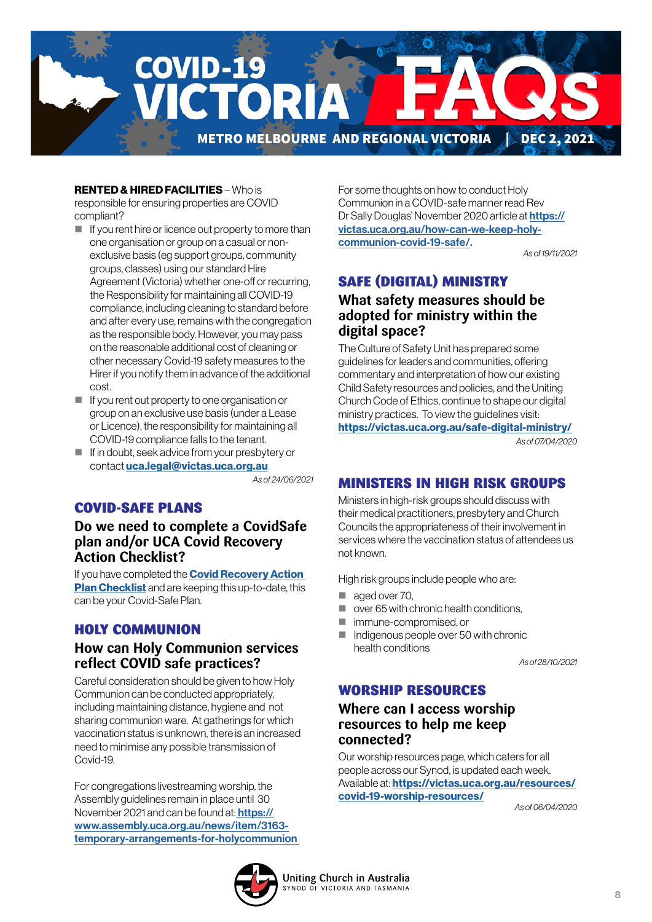

### RENTED & HIRED FACILITIES – Who is

responsible for ensuring properties are COVID compliant?

- $\blacksquare$  If you rent hire or licence out property to more than one organisation or group on a casual or nonexclusive basis (eg support groups, community groups, classes) using our standard Hire Agreement (Victoria) whether one-off or recurring, the Responsibility for maintaining all COVID-19 compliance, including cleaning to standard before and after every use, remains with the congregation as the responsible body. However, you may pass on the reasonable additional cost of cleaning or other necessary Covid-19 safety measures to the Hirer if you notify them in advance of the additional cost.
- $\blacksquare$  If you rent out property to one organisation or group on an exclusive use basis (under a Lease or Licence), the responsibility for maintaining all COVID-19 compliance falls to the tenant.
- If in doubt, seek advice from your presbytery or contact [uca.legal@victas.uca.org.au](mailto:uca.legal%40victas.uca.org.au?subject=)

*As of 24/06/2021*

### COVID-SAFE PLANS

**Do we need to complete a CovidSafe plan and/or UCA Covid Recovery Action Checklist?** 

If you have completed the **Covid Recovery Action [Plan Checklist](https://victas.uca.org.au/download/668/faq/8852/recovery-action-plan-checklist-v5)** and are keeping this up-to-date, this can be your Covid-Safe Plan.

### HOLY COMMUNION

### **How can Holy Communion services reflect COVID safe practices?**

Careful consideration should be given to how Holy Communion can be conducted appropriately, including maintaining distance, hygiene and not sharing communion ware. At gatherings for which vaccination status is unknown, there is an increased need to minimise any possible transmission of Covid-19.

For congregations livestreaming worship, the Assembly guidelines remain in place until 30 November 2021 and can be found at: **https://** [www.assembly.uca.org.au/news/item/3163](https://
www.assembly.uca.org.au/news/item/3163-
temporary-arrangements-for-holycommunion ) [temporary-arrangements-for-holycommunion](https://
www.assembly.uca.org.au/news/item/3163-
temporary-arrangements-for-holycommunion )  For some thoughts on how to conduct Holy Communion in a COVID-safe manner read Rev Dr Sally Douglas' November 2020 article at [https://](https://

victas.uca.org.au/how-can-we-keep-holy-

communion-covid-19-safe/) [victas.uca.org.au/how-can-we-keep-holy](https://

victas.uca.org.au/how-can-we-keep-holy-

communion-covid-19-safe/)[communion-covid-19-safe/.](https://

victas.uca.org.au/how-can-we-keep-holy-

communion-covid-19-safe/) 

*As of 19/11/2021*

## SAFE (DIGITAL) MINISTRY

## **What safety measures should be adopted for ministry within the digital space?**

The Culture of Safety Unit has prepared some guidelines for leaders and communities, offering commentary and interpretation of how our existing Child Safety resources and policies, and the Uniting Church Code of Ethics, continue to shape our digital ministry practices. To view the guidelines visit: <https://victas.uca.org.au/safe-digital-ministry/>

*As of 07/04/2020*

### MINISTERS IN HIGH RISK GROUPS

Ministers in high-risk groups should discuss with their medical practitioners, presbytery and Church Councils the appropriateness of their involvement in services where the vaccination status of attendees us not known.

High risk groups include people who are:

- aged over 70.
- over 65 with chronic health conditions,
- immune-compromised, or
- Indigenous people over 50 with chronic health conditions

*As of 28/10/2021*

### WORSHIP RESOURCES

### **Where can I access worship resources to help me keep connected?**

Our worship resources page, which caters for all people across our Synod, is updated each week. Available at: [https://victas.uca.org.au/resources/](https://victas.uca.org.au/resources/covid-19-worship-resources/) [covid-19-worship-resources/](https://victas.uca.org.au/resources/covid-19-worship-resources/)

 *As of 06/04/2020*

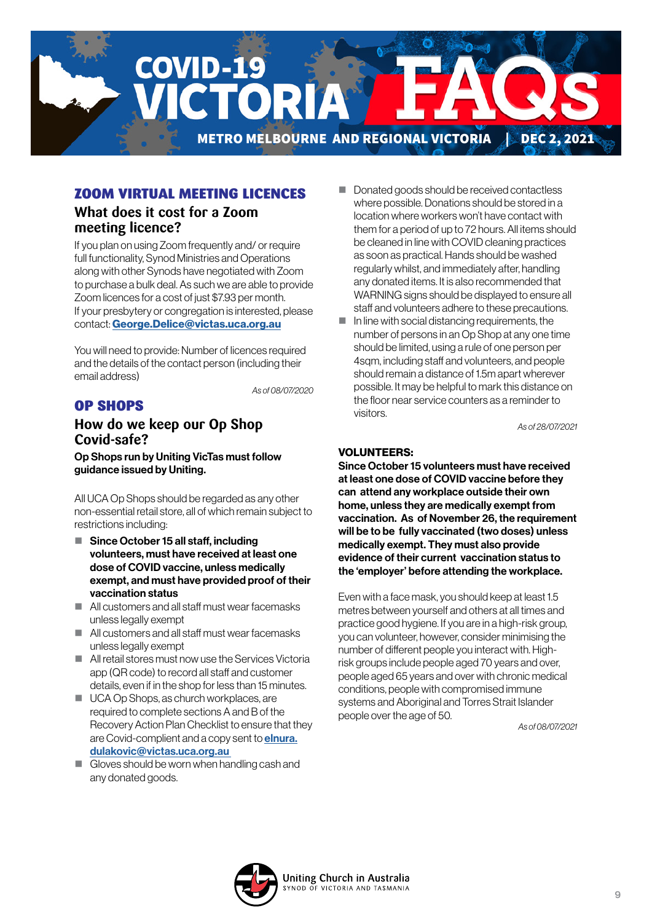

### ZOOM VIRTUAL MEETING LICENCES

### **What does it cost for a Zoom meeting licence?**

If you plan on using Zoom frequently and/ or require full functionality, Synod Ministries and Operations along with other Synods have negotiated with Zoom to purchase a bulk deal. As such we are able to provide Zoom licences for a cost of just \$7.93 per month. If your presbytery or congregation is interested, please contact: [George.Delice@victas.uca.org.au](mailto:George.Delice%40victas.uca.org.au?subject=)

You will need to provide: Number of licences required and the details of the contact person (including their email address)

*As of 08/07/2020*

## OP SHOPS

### **How do we keep our Op Shop Covid-safe?**

Op Shops run by Uniting VicTas must follow guidance issued by Uniting.

All UCA Op Shops should be regarded as any other non-essential retail store, all of which remain subject to restrictions including:

- Since October 15 all staff, including volunteers, must have received at least one dose of COVID vaccine, unless medically exempt, and must have provided proof of their vaccination status
- All customers and all staff must wear facemasks unless legally exempt
- All customers and all staff must wear facemasks unless legally exempt
- **All retail stores must now use the Services Victoria** app (QR code) to record all staff and customer details, even if in the shop for less than 15 minutes.
- UCA Op Shops, as church workplaces, are required to complete sections A and B of the Recovery Action Plan Checklist to ensure that they are Covid-complient and a copy sent to **[elnura.](mailto:elnura.dulakovic%40victas.uca.org.au%20%20?subject=)** [dulakovic@victas.uca.org.au](mailto:elnura.dulakovic%40victas.uca.org.au%20%20?subject=)
- $\Box$  Gloves should be worn when handling cash and any donated goods.
- Donated goods should be received contactless where possible. Donations should be stored in a location where workers won't have contact with them for a period of up to 72 hours. All items should be cleaned in line with COVID cleaning practices as soon as practical. Hands should be washed regularly whilst, and immediately after, handling any donated items. It is also recommended that WARNING signs should be displayed to ensure all staff and volunteers adhere to these precautions.
- $\blacksquare$  In line with social distancing requirements, the number of persons in an Op Shop at any one time should be limited, using a rule of one person per 4sqm, including staff and volunteers, and people should remain a distance of 1.5m apart wherever possible. It may be helpful to mark this distance on the floor near service counters as a reminder to visitors.

*As of 28/07/2021*

### VOLUNTEERS:

Since October 15 volunteers must have received at least one dose of COVID vaccine before they can attend any workplace outside their own home, unless they are medically exempt from vaccination. As of November 26, the requirement will be to be fully vaccinated (two doses) unless medically exempt. They must also provide evidence of their current vaccination status to the 'employer' before attending the workplace.

Even with a face mask, you should keep at least 1.5 metres between yourself and others at all times and practice good hygiene. If you are in a high-risk group, you can volunteer, however, consider minimising the number of different people you interact with. Highrisk groups include people aged 70 years and over, people aged 65 years and over with chronic medical conditions, people with compromised immune systems and Aboriginal and Torres Strait Islander people over the age of 50.

*As of 08/07/2021*